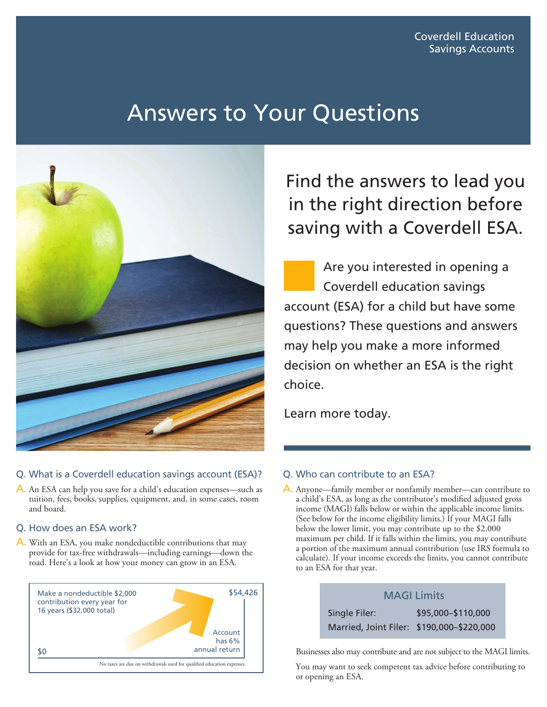# Answers to Your Questions



## Q. What is a Coverdell education savings account (ESA)?

A. An ESA can help you save for a child's education expenses—such as tuition, fees, books, supplies, equipment, and, in some cases, room and board.

### Q. How does an ESA work?

A. With an ESA, you make nondeductible contributions that may provide for tax-free withdrawals—including earnings—down the road. Here's a look at how your money can grow in an ESA.



Find the answers to lead you in the right direction before saving with a Coverdell ESA.

Are you interested in opening a Coverdell education savings account (ESA) for a child but have some questions? These questions and answers may help you make a more informed decision on whether an ESA is the right choice.

Learn more today.

### Q. Who can contribute to an ESA?

A. Anyone—family member or nonfamily member—can contribute to a child's ESA, as long as the contributor's modified adjusted gross income (MAGI) falls below or within the applicable income limits. (See below for the income eligibility limits.) If your MAGI falls below the lower limit, you may contribute up to the \$2,000 maximum per child. If it falls within the limits, you may contribute a portion of the maximum annual contribution (use IRS formula to calculate). If your income exceeds the limits, you cannot contribute to an ESA for that year.



Businesses also may contribute and are not subject to the MAGI limits.

You may want to seek competent tax advice before contributing to or opening an ESA.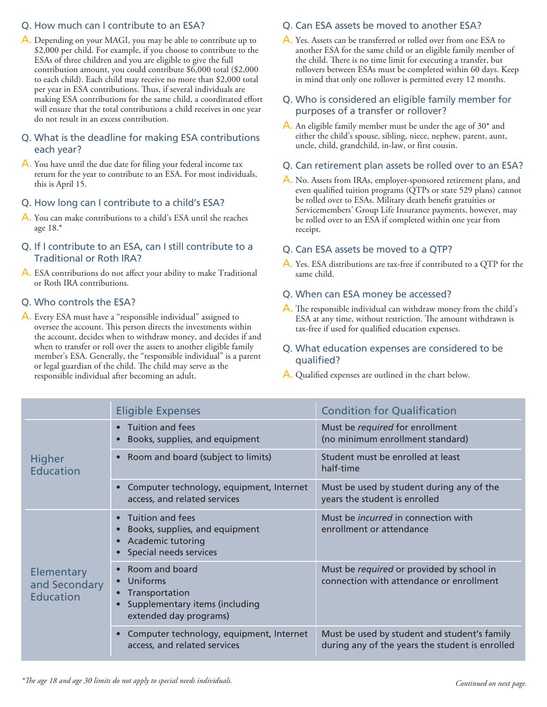## Q. How much can I contribute to an ESA?

A. Depending on your MAGI, you may be able to contribute up to \$2,000 per child. For example, if you choose to contribute to the ESAs of three children and you are eligible to give the full contribution amount, you could contribute \$6,000 total (\$2,000 to each child). Each child may receive no more than \$2,000 total per year in ESA contributions. Thus, if several individuals are making ESA contributions for the same child, a coordinated effort will ensure that the total contributions a child receives in one year do not result in an excess contribution.

## Q. What is the deadline for making ESA contributions each year?

A. You have until the due date for filing your federal income tax return for the year to contribute to an ESA. For most individuals, this is April 15.

### Q. How long can I contribute to a child's ESA?

A. You can make contributions to a child's ESA until she reaches age 18.\*

## Q. If I contribute to an ESA, can I still contribute to a Traditional or Roth IRA?

A. ESA contributions do not affect your ability to make Traditional or Roth IRA contributions.

## Q. Who controls the ESA?

A. Every ESA must have a "responsible individual" assigned to oversee the account. This person directs the investments within the account, decides when to withdraw money, and decides if and when to transfer or roll over the assets to another eligible family member's ESA. Generally, the "responsible individual" is a parent or legal guardian of the child. The child may serve as the responsible individual after becoming an adult.

## Q. Can ESA assets be moved to another ESA?

A. Yes. Assets can be transferred or rolled over from one ESA to another ESA for the same child or an eligible family member of the child. There is no time limit for executing a transfer, but rollovers between ESAs must be completed within 60 days. Keep in mind that only one rollover is permitted every 12 months.

## Q. Who is considered an eligible family member for purposes of a transfer or rollover?

A. An eligible family member must be under the age of 30\* and either the child's spouse, sibling, niece, nephew, parent, aunt, uncle, child, grandchild, in-law, or first cousin.

#### Q. Can retirement plan assets be rolled over to an ESA?

A. No. Assets from IRAs, employer-sponsored retirement plans, and even qualified tuition programs (QTPs or state 529 plans) cannot be rolled over to ESAs. Military death benefit gratuities or Servicemembers' Group Life Insurance payments, however, may be rolled over to an ESA if completed within one year from receipt.

### Q. Can ESA assets be moved to a QTP?

A. Yes. ESA distributions are tax-free if contributed to a QTP for the same child.

#### Q. When can ESA money be accessed?

A. The responsible individual can withdraw money from the child's ESA at any time, without restriction. The amount withdrawn is tax-free if used for qualified education expenses.

### Q. What education expenses are considered to be qualified?

A. Qualified expenses are outlined in the chart below.

|                                                 | <b>Eligible Expenses</b>                                                                                                | <b>Condition for Qualification</b>                                                              |
|-------------------------------------------------|-------------------------------------------------------------------------------------------------------------------------|-------------------------------------------------------------------------------------------------|
| Higher<br><b>Education</b>                      | • Tuition and fees<br>Books, supplies, and equipment                                                                    | Must be required for enrollment<br>(no minimum enrollment standard)                             |
|                                                 | Room and board (subject to limits)<br>$\bullet$                                                                         | Student must be enrolled at least<br>half-time                                                  |
|                                                 | Computer technology, equipment, Internet<br>access, and related services                                                | Must be used by student during any of the<br>years the student is enrolled                      |
| Elementary<br>and Secondary<br><b>Education</b> | Tuition and fees<br>Books, supplies, and equipment<br>Academic tutoring<br>Special needs services                       | Must be <i>incurred</i> in connection with<br>enrollment or attendance                          |
|                                                 | Room and board<br>• Uniforms<br>Transportation<br>$\bullet$<br>Supplementary items (including<br>extended day programs) | Must be required or provided by school in<br>connection with attendance or enrollment           |
|                                                 | Computer technology, equipment, Internet<br>access, and related services                                                | Must be used by student and student's family<br>during any of the years the student is enrolled |